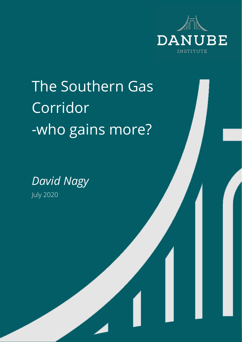

# The Southern Gas **Corridor** -who gains more?

*David Nagy* July 2020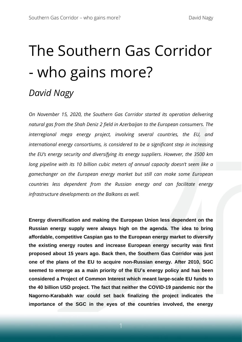# The Southern Gas Corridor - who gains more?

# *David Nagy*

*On November 15, 2020, the Southern Gas Corridor started its operation delivering natural gas from the Shah Deniz 2 field in Azerbaijan to the European consumers. The interregional mega energy project, involving several countries, the EU, and international energy consortiums, is considered to be a significant step in increasing the EU's energy security and diversifying its energy suppliers. However, the 3500 km long pipeline with its 10 billion cubic meters of annual capacity doesn't seem like a gamechanger on the European energy market but still can make some European countries less dependent from the Russian energy and can facilitate energy infrastructure developments on the Balkans as well.*

**Energy diversification and making the European Union less dependent on the Russian energy supply were always high on the agenda. The idea to bring affordable, competitive Caspian gas to the European energy market to diversify the existing energy routes and increase European energy security was first proposed about 15 years ago. Back then, the Southern Gas Corridor was just one of the plans of the EU to acquire non-Russian energy. After 2010, SGC seemed to emerge as a main priority of the EU's energy policy and has been considered a Project of Common Interest which meant large-scale EU funds to the 40 billion USD project. The fact that neither the COVID-19 pandemic nor the Nagorno-Karabakh war could set back finalizing the project indicates the importance of the SGC in the eyes of the countries involved, the energy**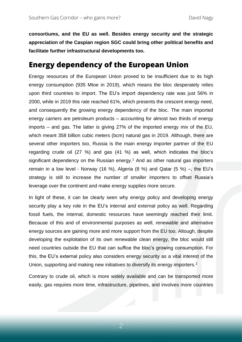**consortiums, and the EU as well. Besides energy security and the strategic appreciation of the Caspian region SGC could bring other political benefits and facilitate further infrastructural developments too.**

#### **Energy dependency of the European Union**

Energy resources of the European Union proved to be insufficient due to its high energy consumption (935 Mtoe in 2019), which means the bloc desperately relies upon third countries to import. The EU's import dependency rate was just 56% in 2000, while in 2019 this rate reached 61%, which presents the crescent energy need, and consequently the growing energy dependency of the bloc. The main imported energy carriers are petroleum products – accounting for almost two thirds of energy imports – and gas. The latter is giving 27% of the imported energy mix of the EU, which meant 358 billion cubic meters (bcm) natural gas in 2019. Although, there are several other importers too, Russia is the main energy importer partner of the EU regarding crude oil (27 %) and gas (41 %) as well, which indicates the bloc's significant dependency on the Russian energy.<sup>1</sup> And as other natural gas importers remain in a low level - Norway (16 %), Algeria (8 %) and Qatar (5 %) –, the EU's strategy is still to increase the number of smaller importers to offset Russia's leverage over the continent and make energy supplies more secure.

In light of these, it can be clearly seen why energy policy and developing energy security play a key role in the EU's internal and external policy as well. Regarding fossil fuels, the internal, domestic resources have seemingly reached their limit. Because of this and of environmental purposes as well, renewable and alternative energy sources are gaining more and more support from the EU too. Altough, despite developing the exploitation of its own renewable clean energy, the bloc would still need countries outside the EU that can suffice the bloc's growing consumption. For this, the EU's external policy also considers energy security as a vital interest of the Union, supporting and making new initiatives to diversify its energy importers.<sup>2</sup>

Contrary to crude oil, which is more widely available and can be transported more easily, gas requires more time, infrastructure, pipelines, and involves more countries

2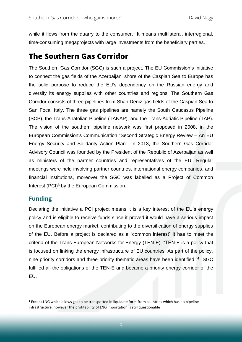while it flows from the quarry to the consumer.<sup>1</sup> It means multilateral, interregional, time-consuming megaprojects with large investments from the beneficiary parties.

### **The Southern Gas Corridor**

The Southern Gas Corridor (SGC) is such a project. The EU Commission's initiative to connect the gas fields of the Azerbaijani shore of the Caspian Sea to Europe has the solid purpose to reduce the EU's dependency on the Russian energy and diversify its energy supplies with other countries and regions. The Southern Gas Corridor consists of three pipelines from Shah Deniz gas fields of the Caspian Sea to San Foca, Italy. The three gas pipelines are namely the South Caucasus Pipeline (SCP), the Trans-Anatolian Pipeline (TANAP), and the Trans-Adriatic Pipeline (TAP). The vision of the southern pipeline network was first proposed in 2008, in the European Commission's Communication "Second Strategic Energy Review – An EU Energy Security and Solidarity Action Plan". In 2013, the Southern Gas Corridor Advisory Council was founded by the President of the Republic of Azerbaijan as well as ministers of the partner countries and representatives of the EU. Regular meetings were held involving partner countries, international energy companies, and financial institutions, moreover the SGC was labelled as a Project of Common Interest (PCI)<sup>3</sup> by the European Commission.

#### **Funding**

Declaring the initiative a PCI project means it is a key interest of the EU's energy policy and is eligible to receive funds since it proved it would have a serious impact on the European energy market, contributing to the diversification of energy supplies of the EU. Before a project is declared as a "common interest" it has to meet the criteria of the Trans-European Networks for Energy (TEN-E). "TEN-E is a policy that is focused on linking the energy infrastructure of EU countries. As part of the policy, nine priority corridors and three priority thematic areas have been identified." 4 SGC fulfilled all the obligations of the TEN-E and became a priority energy corridor of the EU.

 $1$  Except LNG which allows gas to be transported in liquidate form from countries which has no pipeline infrastructure, however the profitability of LNG importation is still questionable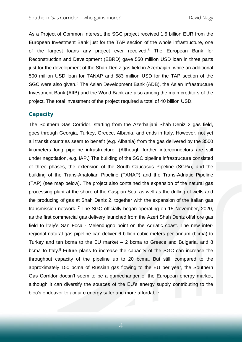As a Project of Common Interest, the SGC project received 1.5 billion EUR from the European Investment Bank just for the TAP section of the whole infrastructure, one of the largest loans any project ever received. <sup>5</sup> The European Bank for Reconstruction and Development (EBRD) gave 550 million USD loan in three parts just for the development of the Shah Deniz gas field in Azerbaijan, while an additional 500 million USD loan for TANAP and 583 million USD for the TAP section of the SGC were also given.<sup>6</sup> The Asian Development Bank (ADB), the Asian Infrastructure Investment Bank (AIIB) and the World Bank are also among the main creditors of the project. The total investment of the project required a total of 40 billion USD.

#### **Capacity**

The Southern Gas Corridor, starting from the Azerbaijani Shah Deniz 2 gas field, goes through Georgia, Turkey, Greece, Albania, and ends in Italy. However, not yet all transit countries seem to benefit (e.g. Albania) from the gas delivered by the 3500 kilometers long pipeline infrastructure. (Although further interconnectors are still under negotiation, e.g. IAP.) The building of the SGC pipeline infrastructure consisted of three phases, the extension of the South Caucasus Pipeline (SCPx), and the building of the Trans-Anatolian Pipeline (TANAP) and the Trans-Adriatic Pipeline (TAP) (see map below). The project also contained the expansion of the natural gas processing plant at the shore of the Caspian Sea, as well as the drilling of wells and the producing of gas at Shah Deniz 2, together with the expansion of the Italian gas transmission network. <sup>7</sup> The SGC officially began operating on 15 November, 2020, as the first commercial gas delivery launched from the Azeri Shah Deniz offshore gas field to Italy's San Foca - Melendugno point on the Adriatic coast. The new interregional natural gas pipeline can deliver 6 billion cubic meters per annum (bcma) to Turkey and ten bcma to the EU market – 2 bcma to Greece and Bulgaria, and 8 bcma to Italy.<sup>8</sup> Future plans to increase the capacity of the SGC can increase the throughput capacity of the pipeline up to 20 bcma. But still, compared to the approximately 150 bcma of Russian gas flowing to the EU per year, the Southern Gas Corridor doesn't seem to be a gamechanger of the European energy market, although it can diversify the sources of the EU's energy supply contributing to the bloc's endeavor to acquire energy safer and more affordable.

4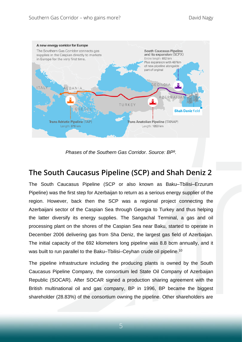

*Phases of the Southern Gas Corridor. Source: BP<sup>9</sup> .*

# **The South Caucasus Pipeline (SCP) and Shah Deniz 2**

The South Caucasus Pipeline (SCP or also known as Baku–Tbilisi–Erzurum Pipeline) was the first step for Azerbaijan to return as a serious energy supplier of the region. However, back then the SCP was a regional project connecting the Azerbaijani sector of the Caspian Sea through Georgia to Turkey and thus helping the latter diversify its energy supplies. The Sangachal Terminal, a gas and oil processing plant on the shores of the Caspian Sea near Baku, started to operate in December 2006 delivering gas from Sha Deniz, the largest gas field of Azerbaijan. The initial capacity of the 692 kilometers long pipeline was 8.8 bcm annually, and it was built to run parallel to the Baku–Tbilisi–Ceyhan crude oil pipeline.<sup>10</sup>

The pipeline infrastructure including the producing plants is owned by the South Caucasus Pipeline Company, the consortium led State Oil Company of Azerbaijan Republic (SOCAR). After SOCAR signed a production sharing agreement with the British multinational oil and gas company, BP in 1996, BP became the biggest shareholder (28.83%) of the consortium owning the pipeline. Other shareholders are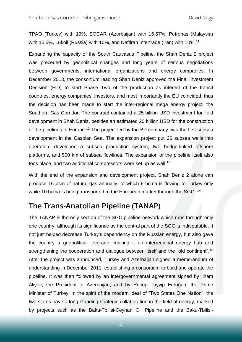TPAO (Turkey) with 19%, SOCAR (Azerbaijan) with 16.67%, Petronas (Malaysia) with 15.5%, Lukoil (Russia) with 10%, and Naftiran Intertrade (Iran) with 10%.<sup>11</sup>

Expanding the capacity of the South Caucasus Pipeline, the Shah Deniz 2 project was preceded by geopolitical changes and long years of serious negotiations between governments, international organizations and energy companies. In December 2013, the consortium leading Shah Deniz approved the Final Investment Decision (FID) to start Phase Two of the production as interest of the transit countries, energy companies, investors, and most importantly the EU coincided, thus the decision has been made to start the inter-regional mega energy project, the Southern Gas Corridor. The contract contained a 25 billion USD investment for field development in Shah Deniz, besides an estimated 20 billion USD for the construction of the pipelines to Europe.<sup>12</sup> The project led by the BP company was the first subsea development in the Caspian Sea. The expansion project put 26 subsea wells into operation, developed a subsea production system, two bridge-linked offshore platforms, and 500 km of subsea flowlines. The expansion of the pipeline itself also took place, and two additional compressors were set up as well.<sup>13</sup>

With the end of the expansion and development project, Shah Deniz 2 alone can produce 16 bcm of natural gas annually, of which 6 bcma is flowing to Turkey only while 10 bcma is being transported to the European market through the SGC. <sup>14</sup>

## **The Trans-Anatolian Pipeline (TANAP)**

The TANAP is the only section of the SGC pipeline network which runs through only one country, although its significance as the central part of the SGC is indisputable. It not just helped decrease Turkey's dependency on the Russian energy, but also gave the country a geopolitical leverage, making it an interregional energy hub and strengthening the cooperation and dialogue between itself and the "old continent".<sup>15</sup> After the project was announced, Turkey and Azerbaijan signed a memorandum of understanding in December 2011, establishing a consortium to build and operate the pipeline. It was then followed by an intergovernmental agreement signed by Ilham Aliyev, the President of Azerbaijan, and by Recep Tayyip Erdoğan, the Prime Minister of Turkey. In the spirit of the modern ideal of "Two States One Nation", the two states have a long-standing strategic collaboration in the field of energy, marked by projects such as the Baku-Tbilisi-Ceyhan Oil Pipeline and the Baku-Tbilisi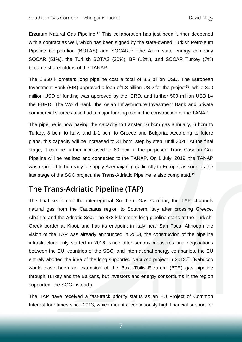Erzurum Natural Gas Pipeline.<sup>16</sup> This collaboration has just been further deepened with a contract as well, which has been signed by the state-owned Turkish Petroleum Pipeline Corporation (BOTAŞ) and SOCAR. <sup>17</sup> The Azeri state energy company SOCAR (51%), the Turkish BOTAS (30%), BP (12%), and SOCAR Turkey (7%) became shareholders of the TANAP.

The 1.850 kilometers long pipeline cost a total of 8.5 billion USD. The European Investment Bank (EIB) approved a loan of 1.3 billion USD for the project<sup>18</sup>, while 800 million USD of funding was approved by the IBRD, and further 500 million USD by the EBRD. The World Bank, the Asian Infrastructure Investment Bank and private commercial sources also had a major funding role in the construction of the TANAP.

The pipeline is now having the capacity to transfer 16 bcm gas annually, 6 bcm to Turkey, 8 bcm to Italy, and 1-1 bcm to Greece and Bulgaria. According to future plans, this capacity will be increased to 31 bcm, step by step, until 2026. At the final stage, it can be further increased to 60 bcm if the proposed Trans-Caspian Gas Pipeline will be realized and connected to the TANAP. On 1 July, 2019, the TANAP was reported to be ready to supply Azerbaijani gas directly to Europe, as soon as the last stage of the SGC project, the Trans-Adriatic Pipeline is also completed.<sup>19</sup>

#### **The Trans-Adriatic Pipeline (TAP)**

The final section of the interregional Southern Gas Corridor, the TAP channels natural gas from the Caucasus region to Southern Italy after crossing Greece, Albania, and the Adriatic Sea. The 878 kilometers long pipeline starts at the Turkish-Greek border at Kipoi, and has its endpoint in Italy near San Foca. Although the vision of the TAP was already announced in 2003, the construction of the pipeline infrastructure only started in 2016, since after serious measures and negotiations between the EU, countries of the SGC, and international energy companies, the EU entirely aborted the idea of the long supported Nabucco project in 2013.<sup>20</sup> (Nabucco would have been an extension of the Baku-Tbilisi-Erzurum (BTE) gas pipeline through Turkey and the Balkans, but investors and energy consortiums in the region supported the SGC instead.)

The TAP have received a fast-track priority status as an EU Project of Common Interest four times since 2013, which meant a continuously high financial support for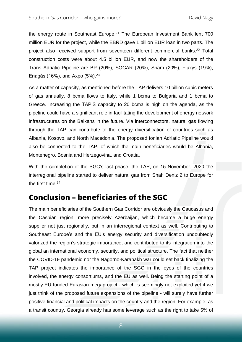the energy route in Southeast Europe.<sup>21</sup> The European Investment Bank lent 700 million EUR for the project, while the EBRD gave 1 billion EUR loan in two parts. The project also received support from seventeen different commercial banks.<sup>22</sup> Total construction costs were about 4.5 billion EUR, and now the shareholders of the Trans Adriatic Pipeline are BP (20%), SOCAR (20%), Snam (20%), Fluxys (19%), Enagás (16%), and Axpo  $(5%)$ .  $23$ 

As a matter of capacity, as mentioned before the TAP delivers 10 billion cubic meters of gas annually. 8 bcma flows to Italy, while 1 bcma to Bulgaria and 1 bcma to Greece. Increasing the TAP'S capacity to 20 bcma is high on the agenda, as the pipeline could have a significant role in facilitating the development of energy network infrastructures on the Balkans in the future. Via interconnectors, natural gas flowing through the TAP can contribute to the energy diversification of countries such as Albania, Kosovo, and North Macedonia. The proposed Ionian Adriatic Pipeline would also be connected to the TAP, of which the main beneficiaries would be Albania, Montenegro, Bosnia and Herzegovina, and Croatia.

With the completion of the SGC's last phase, the TAP, on 15 November, 2020 the interregional pipeline started to deliver natural gas from Shah Deniz 2 to Europe for the first time.<sup>24</sup>

## **Conclusion – beneficiaries of the SGC**

The main beneficiaries of the Southern Gas Corridor are obviously the Caucasus and the Caspian region, more precisely Azerbaijan, which became a huge energy supplier not just regionally, but in an interregional context as well. Contributing to Southeast Europe's and the EU's energy security and diversification undoubtedly valorized the region's strategic importance, and contributed to its integration into the global an international economy, security, and political structure. The fact that neither the COVID-19 pandemic nor the Nagorno-Karabakh war could set back finalizing the TAP project indicates the importance of the SGC in the eyes of the countries involved, the energy consortiums, and the EU as well. Being the starting point of a mostly EU funded Eurasian megaproject - which is seemingly not exploited yet if we just think of the proposed future expansions of the pipeline - will surely have further positive financial and political impacts on the country and the region. For example, as a transit country, Georgia already has some leverage such as the right to take 5% of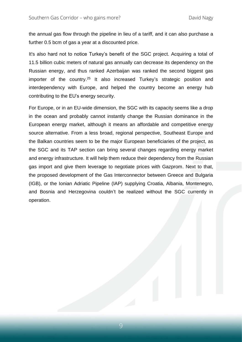the annual gas flow through the pipeline in lieu of a tariff, and it can also purchase a further 0.5 bcm of gas a year at a discounted price.

It's also hard not to notice Turkey's benefit of the SGC project. Acquiring a total of 11.5 billion cubic meters of natural gas annually can decrease its dependency on the Russian energy, and thus ranked Azerbaijan was ranked the second biggest gas importer of the country.<sup>25</sup> It also increased Turkey's strategic position and interdependency with Europe, and helped the country become an energy hub contributing to the EU's energy security.

For Europe, or in an EU-wide dimension, the SGC with its capacity seems like a drop in the ocean and probably cannot instantly change the Russian dominance in the European energy market, although it means an affordable and competitive energy source alternative. From a less broad, regional perspective, Southeast Europe and the Balkan countries seem to be the major European beneficiaries of the project, as the SGC and its TAP section can bring several changes regarding energy market and energy infrastructure. It will help them reduce their dependency from the Russian gas import and give them leverage to negotiate prices with Gazprom. Next to that, the proposed development of the Gas Interconnector between Greece and Bulgaria (IGB), or the Ionian Adriatic Pipeline (IAP) supplying Croatia, Albania, Montenegro, and Bosnia and Herzegovina couldn't be realized without the SGC currently in operation.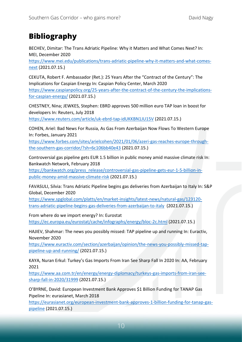# **Bibliography**

BECHEV, Dimitar: The Trans Adriatic Pipeline: Why it Matters and What Comes Next? In: MEI, December 2020

[https://www.mei.edu/publications/trans-adriatic-pipeline-why-it-matters-and-what-comes](https://www.mei.edu/publications/trans-adriatic-pipeline-why-it-matters-and-what-comes-next)[next](https://www.mei.edu/publications/trans-adriatic-pipeline-why-it-matters-and-what-comes-next) (2021.07.15.)

CEKUTA, Robert F. Ambassador (Ret.): 25 Years After the "Contract of the Century": The Implications for Caspian Energy In: Caspian Policy Center, March 2020 [https://www.caspianpolicy.org/25-years-after-the-contract-of-the-century-the-implications](https://www.caspianpolicy.org/25-years-after-the-contract-of-the-century-the-implications-for-caspian-energy/)[for-caspian-energy/](https://www.caspianpolicy.org/25-years-after-the-contract-of-the-century-the-implications-for-caspian-energy/) (2021.07.15.)

CHESTNEY, Nina; JEWKES, Stephen: EBRD approves 500 million euro TAP loan in boost for developers In: Reuters, July 2018

<https://www.reuters.com/article/uk-ebrd-tap-idUKKBN1JU15V> (2021.07.15.)

COHEN, Ariel: Bad News For Russia, As Gas From Azerbaijan Now Flows To Western Europe In: Forbes, January 2021

[https://www.forbes.com/sites/arielcohen/2021/01/06/azeri-gas-reaches-europe-through](https://www.forbes.com/sites/arielcohen/2021/01/06/azeri-gas-reaches-europe-through-the-southern-gas-corridor/?sh=6c106bb40e43)[the-southern-gas-corridor/?sh=6c106bb40e43](https://www.forbes.com/sites/arielcohen/2021/01/06/azeri-gas-reaches-europe-through-the-southern-gas-corridor/?sh=6c106bb40e43) (2021.07.15.)

Controversial gas pipeline gets EUR 1.5 billion in public money amid massive climate risk In: Bankwatch Network, February 2018

[https://bankwatch.org/press\\_release/controversial-gas-pipeline-gets-eur-1-5-billion-in](https://bankwatch.org/press_release/controversial-gas-pipeline-gets-eur-1-5-billion-in-public-money-amid-massive-climate-risk)[public-money-amid-massive-climate-risk](https://bankwatch.org/press_release/controversial-gas-pipeline-gets-eur-1-5-billion-in-public-money-amid-massive-climate-risk) (2021.07.15.)

FAVASULI, Silvia: Trans Adriatic Pipeline begins gas deliveries from Azerbaijan to Italy In: S&P Global, December 2020

[https://www.spglobal.com/platts/en/market-insights/latest-news/natural-gas/123120](https://www.spglobal.com/platts/en/market-insights/latest-news/natural-gas/123120-trans-adriatic-pipeline-begins-gas-deliveries-from-azerbaijan-to-italy) [trans-adriatic-pipeline-begins-gas-deliveries-from-azerbaijan-to-italy](https://www.spglobal.com/platts/en/market-insights/latest-news/natural-gas/123120-trans-adriatic-pipeline-begins-gas-deliveries-from-azerbaijan-to-italy) (2021.07.15.)

From where do we import energy? In: Eurostat

<https://ec.europa.eu/eurostat/cache/infographs/energy/bloc-2c.html> (2021.07.15.)

HAJIEV, Shahmar: The news you possibly missed: TAP pipeline up and running In: Euractiv, November 2020

[https://www.euractiv.com/section/azerbaijan/opinion/the-news-you-possibly-missed-tap](https://www.euractiv.com/section/azerbaijan/opinion/the-news-you-possibly-missed-tap-pipeline-up-and-running/)[pipeline-up-and-running/](https://www.euractiv.com/section/azerbaijan/opinion/the-news-you-possibly-missed-tap-pipeline-up-and-running/) (2021.07.15.)

KAYA, Nuran Erkul: Turkey's Gas Imports From Iran See Sharp Fall In 2020 In: AA, February 2021

[https://www.aa.com.tr/en/energy/energy-diplomacy/turkeys-gas-imports-from-iran-see](https://www.aa.com.tr/en/energy/energy-diplomacy/turkeys-gas-imports-from-iran-see-sharp-fall-in-2020/31999)[sharp-fall-in-2020/31999](https://www.aa.com.tr/en/energy/energy-diplomacy/turkeys-gas-imports-from-iran-see-sharp-fall-in-2020/31999) (2021.07.15.)

O'BYRNE, David: European Investment Bank Approves \$1 Billion Funding for TANAP Gas Pipeline In: eurasianet, March 2018

[https://eurasianet.org/european-investment-bank-approves-1-billion-funding-for-tanap-gas](https://eurasianet.org/european-investment-bank-approves-1-billion-funding-for-tanap-gas-pipeline)[pipeline](https://eurasianet.org/european-investment-bank-approves-1-billion-funding-for-tanap-gas-pipeline) (2021.07.15.)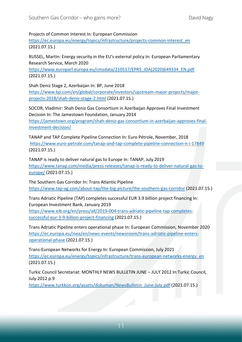Projects of Common Interest In: European Commission

[https://ec.europa.eu/energy/topics/infrastructure/projects-common-interest\\_en](https://ec.europa.eu/energy/topics/infrastructure/projects-common-interest_en) (2021.07.15.)

RUSSEL, Martin: Energy security in the EU's external policy In: European Parliamentary Research Service, March 2020

[https://www.europarl.europa.eu/cmsdata/210517/EPRS\\_IDA\(2020\)649334\\_EN.pdf](https://www.europarl.europa.eu/cmsdata/210517/EPRS_IDA(2020)649334_EN.pdf) (2021.07.15.)

Shah Deniz Stage 2, Azerbaijan In: BP, June 2018

[https://www.bp.com/en/global/corporate/investors/upstream-major-projects/major](https://www.bp.com/en/global/corporate/investors/upstream-major-projects/major-projects-2018/shah-deniz-stage-2.html)[projects-2018/shah-deniz-stage-2.html](https://www.bp.com/en/global/corporate/investors/upstream-major-projects/major-projects-2018/shah-deniz-stage-2.html) (2021.07.15.)

SOCOR, Vladimir: Shah Deniz Gas Consortium in Azerbaijan Approves Final Investment Decision In: The Jamestown Foundation, January 2014

[https://jamestown.org/program/shah-deniz-gas-consortium-in-azerbaijan-approves-final](https://jamestown.org/program/shah-deniz-gas-consortium-in-azerbaijan-approves-final-investment-decision/)[investment-decision/](https://jamestown.org/program/shah-deniz-gas-consortium-in-azerbaijan-approves-final-investment-decision/)

TANAP and TAP Complete Pipeline Connection In: Euro Pétrole, November, 2018 <https://www.euro-petrole.com/tanap-and-tap-complete-pipeline-connection-n-i-17849> (2021.07.15.)

TANAP is ready to deliver natural gas to Europe In: TANAP, July 2019 [https://www.tanap.com/media/press-releases/tanap-is-ready-to-deliver-natural-gas-to](https://www.tanap.com/media/press-releases/tanap-is-ready-to-deliver-natural-gas-to-europe/)[europe/](https://www.tanap.com/media/press-releases/tanap-is-ready-to-deliver-natural-gas-to-europe/) (2021.07.15.)

The Southern Gas Corridor In: Trans Atlantic Pipeline <https://www.tap-ag.com/about-tap/the-big-picture/the-southern-gas-corridor> (2021.07.15.)

Trans Adriatic Pipeline (TAP) completes successful EUR 3.9 billion project financing In: European Investment Bank, January 2019

[https://www.eib.org/en/press/all/2019-004-trans-adriatic-pipeline-tap-completes](https://www.eib.org/en/press/all/2019-004-trans-adriatic-pipeline-tap-completes-successful-eur-3-9-billion-project-financing)[successful-eur-3-9-billion-project-financing](https://www.eib.org/en/press/all/2019-004-trans-adriatic-pipeline-tap-completes-successful-eur-3-9-billion-project-financing) (2021.07.15.)

Trans Adriatic Pipeline enters operational phase In: European Commission, November 2020 [https://ec.europa.eu/inea/en/news-events/newsroom/trans-adriatic-pipeline-enters](https://ec.europa.eu/inea/en/news-events/newsroom/trans-adriatic-pipeline-enters-operational-phase)[operational-phase](https://ec.europa.eu/inea/en/news-events/newsroom/trans-adriatic-pipeline-enters-operational-phase) (2021.07.15.)

Trans-European Networks for Energy In: European Commission, July 2021 [https://ec.europa.eu/energy/topics/infrastructure/trans-european-networks-energy\\_en](https://ec.europa.eu/energy/topics/infrastructure/trans-european-networks-energy_en) (2021.07.15.)

Turkic Council Secretariat: MONTHLY NEWS BULLETIN JUNE – JULY 2012 In:Turkic Council, July 2012 p.9

[https://www.turkkon.org/assets/dokuman/NewsBulletin\\_June-July.pdf](https://www.turkkon.org/assets/dokuman/NewsBulletin_June-July.pdf) (2021.07.15.)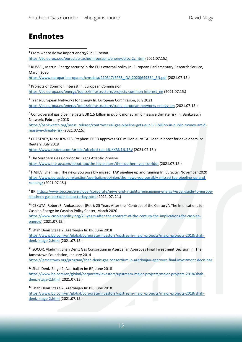### **Endnotes**

1 From where do we import energy? In: Eurostat <https://ec.europa.eu/eurostat/cache/infographs/energy/bloc-2c.html> (2021.07.15.)

<sup>2</sup> RUSSEL, Martin: Energy security in the EU's external policy In: European Parliamentary Research Service, March 2020

[https://www.europarl.europa.eu/cmsdata/210517/EPRS\\_IDA\(2020\)649334\\_EN.pdf](https://www.europarl.europa.eu/cmsdata/210517/EPRS_IDA(2020)649334_EN.pdf) (2021.07.15.)

<sup>3</sup> Projects of Common Interest In: European Commission [https://ec.europa.eu/energy/topics/infrastructure/projects-common-interest\\_en](https://ec.europa.eu/energy/topics/infrastructure/projects-common-interest_en) (2021.07.15.)

<sup>4</sup> Trans-European Networks for Energy In: European Commission, July 2021 [https://ec.europa.eu/energy/topics/infrastructure/trans-european-networks-energy\\_en](https://ec.europa.eu/energy/topics/infrastructure/trans-european-networks-energy_en) (2021.07.15.)

<sup>5</sup> Controversial gas pipeline gets EUR 1.5 billion in public money amid massive climate risk In: Bankwatch Network, February 2018

[https://bankwatch.org/press\\_release/controversial-gas-pipeline-gets-eur-1-5-billion-in-public-money-amid](https://bankwatch.org/press_release/controversial-gas-pipeline-gets-eur-1-5-billion-in-public-money-amid-massive-climate-risk)[massive-climate-risk](https://bankwatch.org/press_release/controversial-gas-pipeline-gets-eur-1-5-billion-in-public-money-amid-massive-climate-risk) (2021.07.15.)

<sup>6</sup> CHESTNEY, Nina; JEWKES, Stephen: EBRD approves 500 million euro TAP loan in boost for developers In: Reuters, July 2018

<https://www.reuters.com/article/uk-ebrd-tap-idUKKBN1JU15V> (2021.07.15.)

<sup>7</sup> The Southern Gas Corridor In: Trans Atlantic Pipeline <https://www.tap-ag.com/about-tap/the-big-picture/the-southern-gas-corridor> (2021.07.15.)

<sup>8</sup> HAJIEV, Shahmar: The news you possibly missed: TAP pipeline up and running In: Euractiv, November 2020 [https://www.euractiv.com/section/azerbaijan/opinion/the-news-you-possibly-missed-tap-pipeline-up-and](https://www.euractiv.com/section/azerbaijan/opinion/the-news-you-possibly-missed-tap-pipeline-up-and-running/)[running/](https://www.euractiv.com/section/azerbaijan/opinion/the-news-you-possibly-missed-tap-pipeline-up-and-running/) (2021.07.15.)

<sup>9</sup> BP, [https://www.bp.com/en/global/corporate/news-and-insights/reimagining-energy/visual-guide-to-europe](https://www.bp.com/en/global/corporate/news-and-insights/reimagining-energy/visual-guide-to-europe-southern-gas-corridor-tanap-turkey.html)[southern-gas-corridor-tanap-turkey.html](https://www.bp.com/en/global/corporate/news-and-insights/reimagining-energy/visual-guide-to-europe-southern-gas-corridor-tanap-turkey.html) (2021. 07. 21.)

<sup>10</sup> CEKUTA, Robert F. Ambassador (Ret.): 25 Years After the "Contract of the Century": The Implications for Caspian Energy In: Caspian Policy Center, March 2020

[https://www.caspianpolicy.org/25-years-after-the-contract-of-the-century-the-implications-for-caspian](https://www.caspianpolicy.org/25-years-after-the-contract-of-the-century-the-implications-for-caspian-energy/)[energy/](https://www.caspianpolicy.org/25-years-after-the-contract-of-the-century-the-implications-for-caspian-energy/) (2021.07.15.)

<sup>11</sup> Shah Deniz Stage 2, Azerbaijan In: BP, June 2018

[https://www.bp.com/en/global/corporate/investors/upstream-major-projects/major-projects-2018/shah](https://www.bp.com/en/global/corporate/investors/upstream-major-projects/major-projects-2018/shah-deniz-stage-2.html)[deniz-stage-2.html](https://www.bp.com/en/global/corporate/investors/upstream-major-projects/major-projects-2018/shah-deniz-stage-2.html) (2021.07.15.)

<sup>12</sup> SOCOR, Vladimir: Shah Deniz Gas Consortium in Azerbaijan Approves Final Investment Decision In: The Jamestown Foundation, January 2014

<https://jamestown.org/program/shah-deniz-gas-consortium-in-azerbaijan-approves-final-investment-decision/>

13 Shah Deniz Stage 2, Azerbaijan In: BP, June 2018

[https://www.bp.com/en/global/corporate/investors/upstream-major-projects/major-projects-2018/shah](https://www.bp.com/en/global/corporate/investors/upstream-major-projects/major-projects-2018/shah-deniz-stage-2.html)[deniz-stage-2.html](https://www.bp.com/en/global/corporate/investors/upstream-major-projects/major-projects-2018/shah-deniz-stage-2.html) (2021.07.15.)

<sup>14</sup> Shah Deniz Stage 2, Azerbaijan In: BP, June 2018

[https://www.bp.com/en/global/corporate/investors/upstream-major-projects/major-projects-2018/shah](https://www.bp.com/en/global/corporate/investors/upstream-major-projects/major-projects-2018/shah-deniz-stage-2.html)[deniz-stage-2.html](https://www.bp.com/en/global/corporate/investors/upstream-major-projects/major-projects-2018/shah-deniz-stage-2.html) (2021.07.15.)